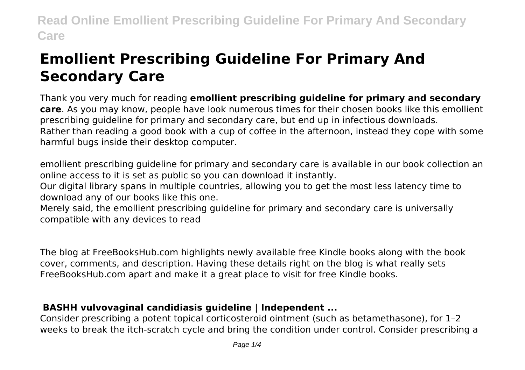# **Emollient Prescribing Guideline For Primary And Secondary Care**

Thank you very much for reading **emollient prescribing guideline for primary and secondary care**. As you may know, people have look numerous times for their chosen books like this emollient prescribing guideline for primary and secondary care, but end up in infectious downloads. Rather than reading a good book with a cup of coffee in the afternoon, instead they cope with some harmful bugs inside their desktop computer.

emollient prescribing guideline for primary and secondary care is available in our book collection an online access to it is set as public so you can download it instantly.

Our digital library spans in multiple countries, allowing you to get the most less latency time to download any of our books like this one.

Merely said, the emollient prescribing guideline for primary and secondary care is universally compatible with any devices to read

The blog at FreeBooksHub.com highlights newly available free Kindle books along with the book cover, comments, and description. Having these details right on the blog is what really sets FreeBooksHub.com apart and make it a great place to visit for free Kindle books.

### **BASHH vulvovaginal candidiasis guideline | Independent ...**

Consider prescribing a potent topical corticosteroid ointment (such as betamethasone), for 1–2 weeks to break the itch-scratch cycle and bring the condition under control. Consider prescribing a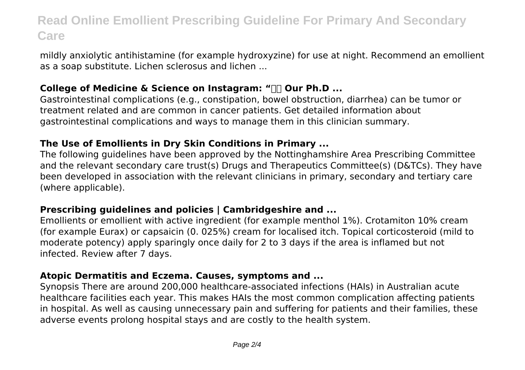mildly anxiolytic antihistamine (for example hydroxyzine) for use at night. Recommend an emollient as a soap substitute. Lichen sclerosus and lichen ...

#### **College of Medicine & Science on Instagram: "** $\Box$  **Our Ph.D ...**

Gastrointestinal complications (e.g., constipation, bowel obstruction, diarrhea) can be tumor or treatment related and are common in cancer patients. Get detailed information about gastrointestinal complications and ways to manage them in this clinician summary.

#### **The Use of Emollients in Dry Skin Conditions in Primary ...**

The following guidelines have been approved by the Nottinghamshire Area Prescribing Committee and the relevant secondary care trust(s) Drugs and Therapeutics Committee(s) (D&TCs). They have been developed in association with the relevant clinicians in primary, secondary and tertiary care (where applicable).

#### **Prescribing guidelines and policies | Cambridgeshire and ...**

Emollients or emollient with active ingredient (for example menthol 1%). Crotamiton 10% cream (for example Eurax) or capsaicin (0. 025%) cream for localised itch. Topical corticosteroid (mild to moderate potency) apply sparingly once daily for 2 to 3 days if the area is inflamed but not infected. Review after 7 days.

#### **Atopic Dermatitis and Eczema. Causes, symptoms and ...**

Synopsis There are around 200,000 healthcare-associated infections (HAIs) in Australian acute healthcare facilities each year. This makes HAIs the most common complication affecting patients in hospital. As well as causing unnecessary pain and suffering for patients and their families, these adverse events prolong hospital stays and are costly to the health system.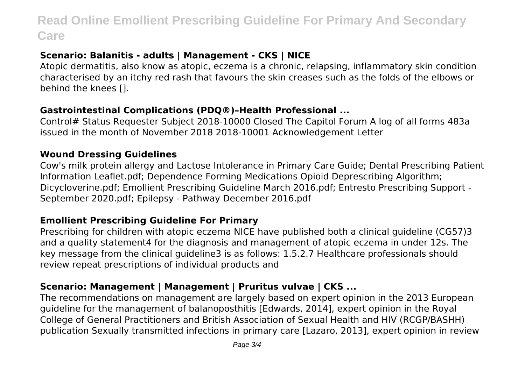### **Scenario: Balanitis - adults | Management - CKS | NICE**

Atopic dermatitis, also know as atopic, eczema is a chronic, relapsing, inflammatory skin condition characterised by an itchy red rash that favours the skin creases such as the folds of the elbows or behind the knees [].

#### **Gastrointestinal Complications (PDQ®)–Health Professional ...**

Control# Status Requester Subject 2018-10000 Closed The Capitol Forum A log of all forms 483a issued in the month of November 2018 2018-10001 Acknowledgement Letter

#### **Wound Dressing Guidelines**

Cow's milk protein allergy and Lactose Intolerance in Primary Care Guide; Dental Prescribing Patient Information Leaflet.pdf; Dependence Forming Medications Opioid Deprescribing Algorithm; Dicycloverine.pdf; Emollient Prescribing Guideline March 2016.pdf; Entresto Prescribing Support - September 2020.pdf; Epilepsy - Pathway December 2016.pdf

#### **Emollient Prescribing Guideline For Primary**

Prescribing for children with atopic eczema NICE have published both a clinical guideline (CG57)3 and a quality statement4 for the diagnosis and management of atopic eczema in under 12s. The key message from the clinical guideline3 is as follows: 1.5.2.7 Healthcare professionals should review repeat prescriptions of individual products and

#### **Scenario: Management | Management | Pruritus vulvae | CKS ...**

The recommendations on management are largely based on expert opinion in the 2013 European guideline for the management of balanoposthitis [Edwards, 2014], expert opinion in the Royal College of General Practitioners and British Association of Sexual Health and HIV (RCGP/BASHH) publication Sexually transmitted infections in primary care [Lazaro, 2013], expert opinion in review